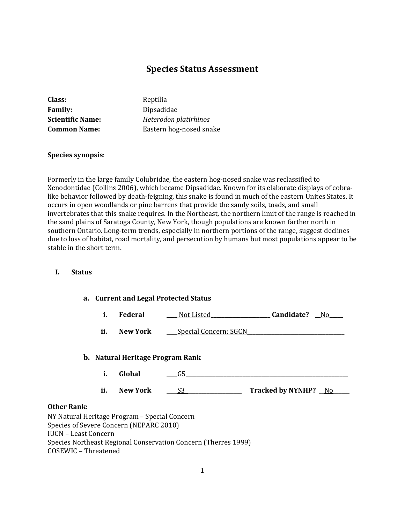# **Species Status Assessment**

| Class:                  | Reptilia                |
|-------------------------|-------------------------|
| <b>Family:</b>          | Dipsadidae              |
| <b>Scientific Name:</b> | Heterodon platirhinos   |
| <b>Common Name:</b>     | Eastern hog-nosed snake |

#### **Species synopsis**:

Formerly in the large family Colubridae, the eastern hog-nosed snake was reclassified to Xenodontidae (Collins 2006), which became Dipsadidae. Known for its elaborate displays of cobralike behavior followed by death-feigning, this snake is found in much of the eastern Unites States. It occurs in open woodlands or pine barrens that provide the sandy soils, toads, and small invertebrates that this snake requires. In the Northeast, the northern limit of the range is reached in the sand plains of Saratoga County, New York, though populations are known farther north in southern Ontario. Long-term trends, especially in northern portions of the range, suggest declines due to loss of habitat, road mortality, and persecution by humans but most populations appear to be stable in the short term.

### **I. Status**

- **a. Current and Legal Protected Status**
	- **i. Federal \_\_\_\_** Not Listed**\_\_\_\_\_\_\_\_\_\_\_\_\_\_\_\_\_\_\_\_\_\_ Candidate? \_\_**No**\_\_\_\_\_**
	- ii. New York <u>\_\_\_\_Special Concern; SGCN</u>

#### **b. Natural Heritage Program Rank**

- **i. Global \_\_\_\_**G5**\_\_\_\_\_\_\_\_\_\_\_\_\_\_\_\_\_\_\_\_\_\_\_\_\_\_\_\_\_\_\_\_\_\_\_\_\_\_\_\_\_\_\_\_\_\_\_\_\_\_\_\_\_\_\_\_\_\_\_\_**
- **ii. New York** \_\_\_\_S3\_\_\_\_\_\_\_\_\_\_\_\_\_\_\_\_\_\_ Tracked by NYNHP? \_No

## **Other Rank:**

NY Natural Heritage Program – Special Concern Species of Severe Concern (NEPARC 2010) IUCN – Least Concern Species Northeast Regional Conservation Concern (Therres 1999) COSEWIC – Threatened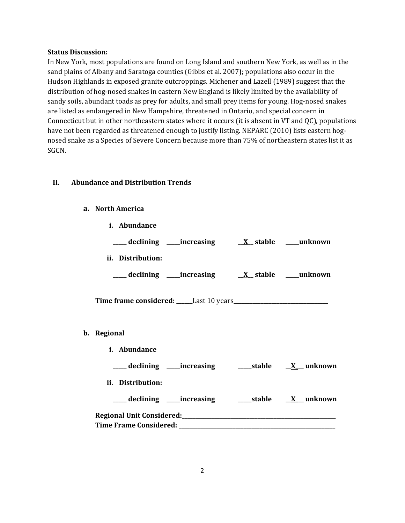#### **Status Discussion:**

In New York, most populations are found on Long Island and southern New York, as well as in the sand plains of Albany and Saratoga counties (Gibbs et al. 2007); populations also occur in the Hudson Highlands in exposed granite outcroppings. Michener and Lazell (1989) suggest that the distribution of hog-nosed snakes in eastern New England is likely limited by the availability of sandy soils, abundant toads as prey for adults, and small prey items for young. Hog-nosed snakes are listed as endangered in New Hampshire, threatened in Ontario, and special concern in Connecticut but in other northeastern states where it occurs (it is absent in VT and QC), populations have not been regarded as threatened enough to justify listing. NEPARC (2010) lists eastern hognosed snake as a Species of Severe Concern because more than 75% of northeastern states list it as SGCN.

## **II. Abundance and Distribution Trends**

## **a. North America**

| i. Abundance      |                                                              |  |
|-------------------|--------------------------------------------------------------|--|
|                   |                                                              |  |
| ii. Distribution: |                                                              |  |
|                   |                                                              |  |
|                   |                                                              |  |
| b. Regional       |                                                              |  |
| i. Abundance      |                                                              |  |
|                   | ___declining ___increasing _____stable __ <u>X__</u> unknown |  |
| ii. Distribution: |                                                              |  |
|                   | ___ declining ____increasing ______stable ___ X___ unknown   |  |
|                   |                                                              |  |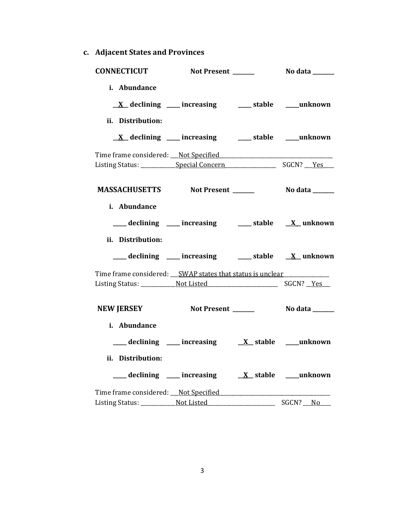**c. Adjacent States and Provinces**

| <b>CONNECTICUT</b>                                                               | Not Present ______                                                                                                                      | <b>No data</b> ______ |
|----------------------------------------------------------------------------------|-----------------------------------------------------------------------------------------------------------------------------------------|-----------------------|
| i. Abundance<br>ii. Distribution:                                                | $\underline{X}$ declining ___ increasing ___ stable ___ unknown                                                                         |                       |
|                                                                                  | $\underline{X}$ declining ___ increasing ___ stable ___ unknown                                                                         |                       |
|                                                                                  |                                                                                                                                         |                       |
|                                                                                  |                                                                                                                                         |                       |
| i. Abundance<br>ii. Distribution:                                                | ___ declining ___ increasing ___ stable __ X_ unknown                                                                                   |                       |
|                                                                                  | ___ declining ___ increasing ___ stable __ X_unknown                                                                                    |                       |
| Time frame considered: __SWAP states that status is unclear ____________________ |                                                                                                                                         |                       |
| NEW JERSEY Not Present _______ No data ______                                    |                                                                                                                                         |                       |
| i. Abundance<br>ii. Distribution:                                                | $\frac{1}{\sqrt{1-x^2}}$ declining $\frac{1}{\sqrt{1-x^2}}$ increasing $\frac{1}{\sqrt{1-x^2}}$ stable $\frac{1}{\sqrt{1-x^2}}$ unknown |                       |
|                                                                                  |                                                                                                                                         |                       |
| Listing Status: Not Listed                                                       |                                                                                                                                         | SGCN? No              |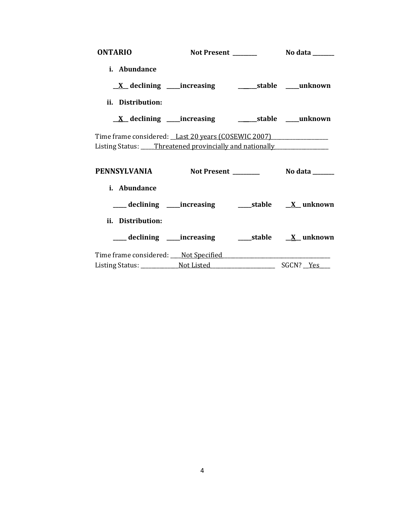| <b>ONTARIO</b>                                                                                                                          |                                                                   |  |  |
|-----------------------------------------------------------------------------------------------------------------------------------------|-------------------------------------------------------------------|--|--|
| i. Abundance                                                                                                                            |                                                                   |  |  |
|                                                                                                                                         | <u>X</u> declining ____increasing ___________stable ____unknown   |  |  |
| ii. Distribution:                                                                                                                       |                                                                   |  |  |
|                                                                                                                                         | <u>X</u> declining ____increasing _____________stable ____unknown |  |  |
| Time frame considered: Last 20 years (COSEWIC 2007)<br>Listing Status: ____Threatened provincially and nationally _____________________ |                                                                   |  |  |
| PENNSYLVANIA Not Present ________ No data _____                                                                                         |                                                                   |  |  |
| i. Abundance                                                                                                                            |                                                                   |  |  |
|                                                                                                                                         |                                                                   |  |  |
| ii. Distribution:                                                                                                                       |                                                                   |  |  |
|                                                                                                                                         |                                                                   |  |  |
|                                                                                                                                         |                                                                   |  |  |
|                                                                                                                                         |                                                                   |  |  |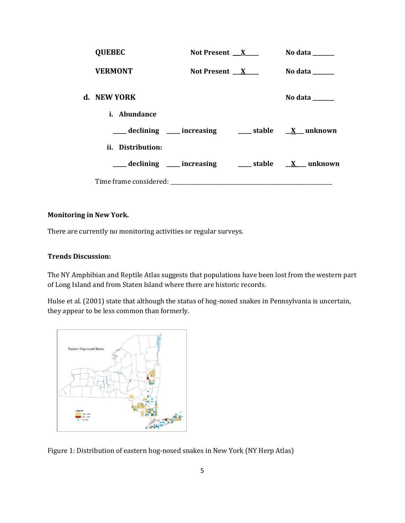| <b>QUEBEC</b>       | Not Present $X_{-}$                                                | No data $\_\_\_\_\_\_\_\_\_\_\_\_\$ |
|---------------------|--------------------------------------------------------------------|-------------------------------------|
| <b>VERMONT</b>      | Not Present $X$                                                    | No data $\_\_$                      |
| d. NEW YORK         |                                                                    | No data ______                      |
| <i>i.</i> Abundance |                                                                    |                                     |
|                     | declining ___ increasing ____ stable __ X__ unknown                |                                     |
| ii. Distribution:   |                                                                    |                                     |
|                     | ____ declining ____ increasing _____ stable __ <u>X</u> __ unknown |                                     |
|                     |                                                                    |                                     |

## **Monitoring in New York.**

There are currently no monitoring activities or regular surveys.

#### **Trends Discussion:**

The NY Amphibian and Reptile Atlas suggests that populations have been lost from the western part of Long Island and from Staten Island where there are historic records.

Hulse et al. (2001) state that although the status of hog-nosed snakes in Pennsylvania is uncertain, they appear to be less common than formerly.



Figure 1: Distribution of eastern hog-nosed snakes in New York (NY Herp Atlas)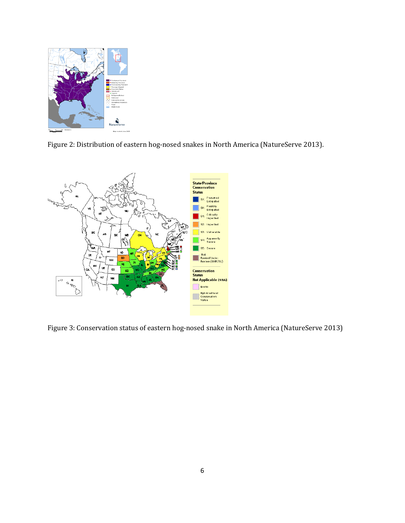

Figure 2: Distribution of eastern hog-nosed snakes in North America (NatureServe 2013).



Figure 3: Conservation status of eastern hog-nosed snake in North America (NatureServe 2013)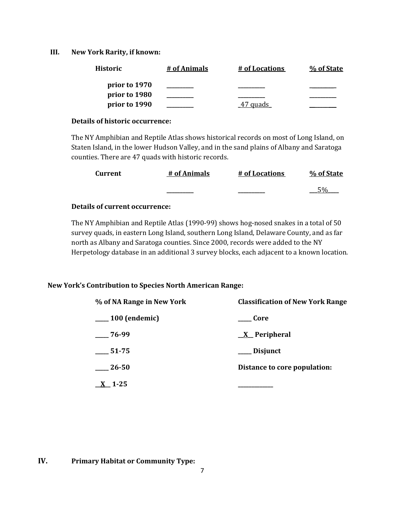#### **III. New York Rarity, if known:**

| <b>Historic</b> | # of Animals | # of Locations | % of State |
|-----------------|--------------|----------------|------------|
| prior to 1970   |              |                |            |
| prior to 1980   |              |                |            |
| prior to 1990   |              | quads          |            |

#### **Details of historic occurrence:**

The NY Amphibian and Reptile Atlas shows historical records on most of Long Island, on Staten Island, in the lower Hudson Valley, and in the sand plains of Albany and Saratoga counties. There are 47 quads with historic records.

| Current | # of Animals | # of Locations | % of State |
|---------|--------------|----------------|------------|
|         |              |                |            |

## **Details of current occurrence:**

The NY Amphibian and Reptile Atlas (1990-99) shows hog-nosed snakes in a total of 50 survey quads, in eastern Long Island, southern Long Island, Delaware County, and as far north as Albany and Saratoga counties. Since 2000, records were added to the NY Herpetology database in an additional 3 survey blocks, each adjacent to a known location.

## **New York's Contribution to Species North American Range:**

| % of NA Range in New York     | <b>Classification of New York Range</b> |  |
|-------------------------------|-----------------------------------------|--|
| $\frac{100}{2}$ (endemic)     | ____ Core                               |  |
| $-76-99$                      | $X$ Peripheral                          |  |
| $\frac{1}{2}$ 51-75           | ___ Disjunct                            |  |
| $\frac{26-50}{2}$             | Distance to core population:            |  |
| $\underline{\mathbf{X}}$ 1-25 |                                         |  |

## **IV. Primary Habitat or Community Type:**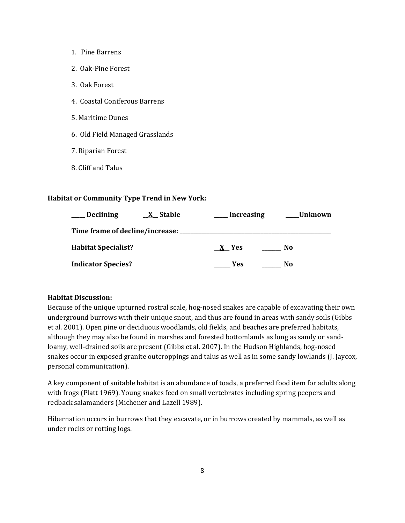- 1. Pine Barrens
- 2. Oak-Pine Forest
- 3. Oak Forest
- 4. Coastal Coniferous Barrens
- 5. Maritime Dunes
- 6. Old Field Managed Grasslands
- 7. Riparian Forest
- 8. Cliff and Talus

#### **Habitat or Community Type Trend in New York:**

| <b>Declining</b><br>X Stable    | <b>Increasing</b> | <b>Unknown</b> |
|---------------------------------|-------------------|----------------|
| Time frame of decline/increase: |                   |                |
| <b>Habitat Specialist?</b>      | X Yes             | No             |
| <b>Indicator Species?</b>       | Yes               | No             |

#### **Habitat Discussion:**

Because of the unique upturned rostral scale, hog-nosed snakes are capable of excavating their own underground burrows with their unique snout, and thus are found in areas with sandy soils (Gibbs et al. 2001). Open pine or deciduous woodlands, old fields, and beaches are preferred habitats, although they may also be found in marshes and forested bottomlands as long as sandy or sandloamy, well-drained soils are present (Gibbs et al. 2007). In the Hudson Highlands, hog-nosed snakes occur in exposed granite outcroppings and talus as well as in some sandy lowlands (J. Jaycox, personal communication).

A key component of suitable habitat is an abundance of toads, a preferred food item for adults along with frogs (Platt 1969). Young snakes feed on small vertebrates including spring peepers and redback salamanders (Michener and Lazell 1989).

Hibernation occurs in burrows that they excavate, or in burrows created by mammals, as well as under rocks or rotting logs.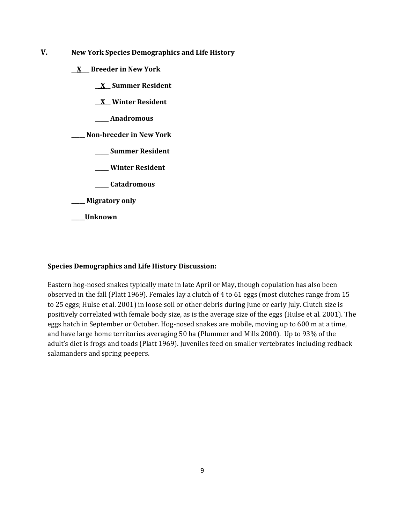- **V. New York Species Demographics and Life History**
	- **\_\_X\_\_\_ Breeder in New York**
		- **\_\_X\_\_ Summer Resident**
		- **\_\_X\_\_ Winter Resident**
		- **\_\_\_\_\_ Anadromous**

**\_\_\_\_\_ Non-breeder in New York**

- **\_\_\_\_\_ Summer Resident**
- **\_\_\_\_\_ Winter Resident**
- **\_\_\_\_\_ Catadromous**
- **\_\_\_\_\_ Migratory only**
- **\_\_\_\_\_Unknown**

## **Species Demographics and Life History Discussion:**

Eastern hog-nosed snakes typically mate in late April or May, though copulation has also been observed in the fall (Platt 1969). Females lay a clutch of 4 to 61 eggs (most clutches range from 15 to 25 eggs; Hulse et al. 2001) in loose soil or other debris during June or early July. Clutch size is positively correlated with female body size, as is the average size of the eggs (Hulse et al. 2001). The eggs hatch in September or October. Hog-nosed snakes are mobile, moving up to 600 m at a time, and have large home territories averaging 50 ha (Plummer and Mills 2000). Up to 93% of the adult's diet is frogs and toads (Platt 1969). Juveniles feed on smaller vertebrates including redback salamanders and spring peepers.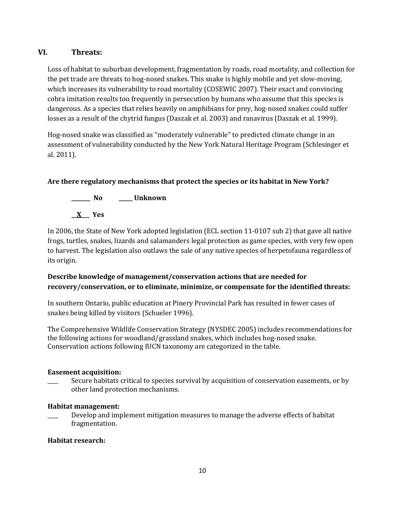## **VI. Threats:**

Loss of habitat to suburban development, fragmentation by roads, road mortality, and collection for the pet trade are threats to hog-nosed snakes. This snake is highly mobile and yet slow-moving, which increases its vulnerability to road mortality (COSEWIC 2007). Their exact and convincing cobra imitation results too frequently in persecution by humans who assume that this species is dangerous. As a species that relies heavily on amphibians for prey, hog-nosed snakes could suffer losses as a result of the chytrid fungus (Daszak et al. 2003) and ranavirus (Daszak et al. 1999).

Hog-nosed snake was classified as "moderately vulnerable" to predicted climate change in an assessment of vulnerability conducted by the New York Natural Heritage Program (Schlesinger et al. 2011).

## **Are there regulatory mechanisms that protect the species or its habitat in New York?**



In 2006, the State of New York adopted legislation (ECL section 11-0107 sub 2) that gave all native frogs, turtles, snakes, lizards and salamanders legal protection as game species, with very few open to harvest. The legislation also outlaws the sale of any native species of herpetofauna regardless of its origin.

## **Describe knowledge of management/conservation actions that are needed for recovery/conservation, or to eliminate, minimize, or compensate for the identified threats:**

In southern Ontario, public education at Pinery Provincial Park has resulted in fewer cases of snakes being killed by visitors (Schueler 1996).

The Comprehensive Wildlife Conservation Strategy (NYSDEC 2005) includes recommendations for the following actions for woodland/grassland snakes, which includes hog-nosed snake. Conservation actions following IUCN taxonomy are categorized in the table.

## **Easement acquisition:**

Secure habitats critical to species survival by acquisition of conservation easements, or by other land protection mechanisms.

## **Habitat management:**

Develop and implement mitigation measures to manage the adverse effects of habitat fragmentation.

## **Habitat research:**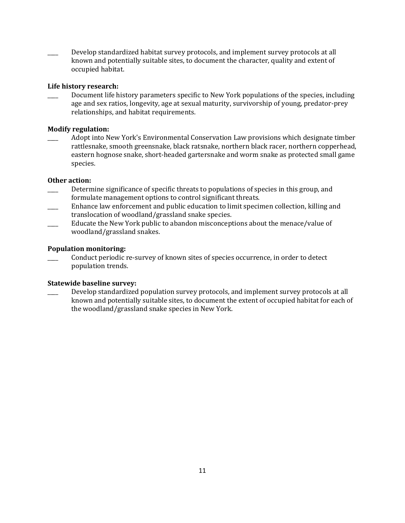Develop standardized habitat survey protocols, and implement survey protocols at all known and potentially suitable sites, to document the character, quality and extent of occupied habitat.

### **Life history research:**

Document life history parameters specific to New York populations of the species, including age and sex ratios, longevity, age at sexual maturity, survivorship of young, predator-prey relationships, and habitat requirements.

### **Modify regulation:**

Adopt into New York's Environmental Conservation Law provisions which designate timber rattlesnake, smooth greensnake, black ratsnake, northern black racer, northern copperhead, eastern hognose snake, short-headed gartersnake and worm snake as protected small game species.

### **Other action:**

- Determine significance of specific threats to populations of species in this group, and formulate management options to control significant threats.
- \_\_\_\_ Enhance law enforcement and public education to limit specimen collection, killing and translocation of woodland/grassland snake species.
- \_\_\_\_ Educate the New York public to abandon misconceptions about the menace/value of woodland/grassland snakes.

#### **Population monitoring:**

Conduct periodic re-survey of known sites of species occurrence, in order to detect population trends.

#### **Statewide baseline survey:**

Develop standardized population survey protocols, and implement survey protocols at all known and potentially suitable sites, to document the extent of occupied habitat for each of the woodland/grassland snake species in New York.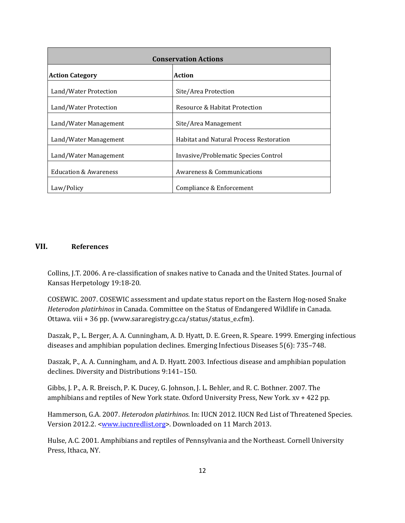| <b>Conservation Actions</b>      |                                         |  |
|----------------------------------|-----------------------------------------|--|
| <b>Action Category</b>           | Action                                  |  |
| Land/Water Protection            | Site/Area Protection                    |  |
| Land/Water Protection            | Resource & Habitat Protection           |  |
| Land/Water Management            | Site/Area Management                    |  |
| Land/Water Management            | Habitat and Natural Process Restoration |  |
| Land/Water Management            | Invasive/Problematic Species Control    |  |
| <b>Education &amp; Awareness</b> | Awareness & Communications              |  |
| Law/Policy                       | Compliance & Enforcement                |  |

### **VII. References**

Collins, J.T. 2006. A re-classification of snakes native to Canada and the United States. Journal of Kansas Herpetology 19:18-20.

COSEWIC. 2007. COSEWIC assessment and update status report on the Eastern Hog-nosed Snake *Heterodon platirhinos* in Canada. Committee on the Status of Endangered Wildlife in Canada. Ottawa. viii + 36 pp. (www.sararegistry.gc.ca/status/status\_e.cfm).

Daszak, P., L. Berger, A. A. Cunningham, A. D. Hyatt, D. E. Green, R. Speare. 1999. Emerging infectious diseases and amphibian population declines. Emerging Infectious Diseases 5(6): 735–748.

Daszak, P., A. A. Cunningham, and A. D. Hyatt. 2003. Infectious disease and amphibian population declines. Diversity and Distributions 9:141–150.

Gibbs, J. P., A. R. Breisch, P. K. Ducey, G. Johnson, J. L. Behler, and R. C. Bothner. 2007. The amphibians and reptiles of New York state. Oxford University Press, New York. xv + 422 pp.

Hammerson, G.A. 2007. *Heterodon platirhinos*. In: IUCN 2012. IUCN Red List of Threatened Species. Version 2012.2. <www.jucnredlist.org>. Downloaded on 11 March 2013.

Hulse, A.C. 2001. Amphibians and reptiles of Pennsylvania and the Northeast. Cornell University Press, Ithaca, NY.